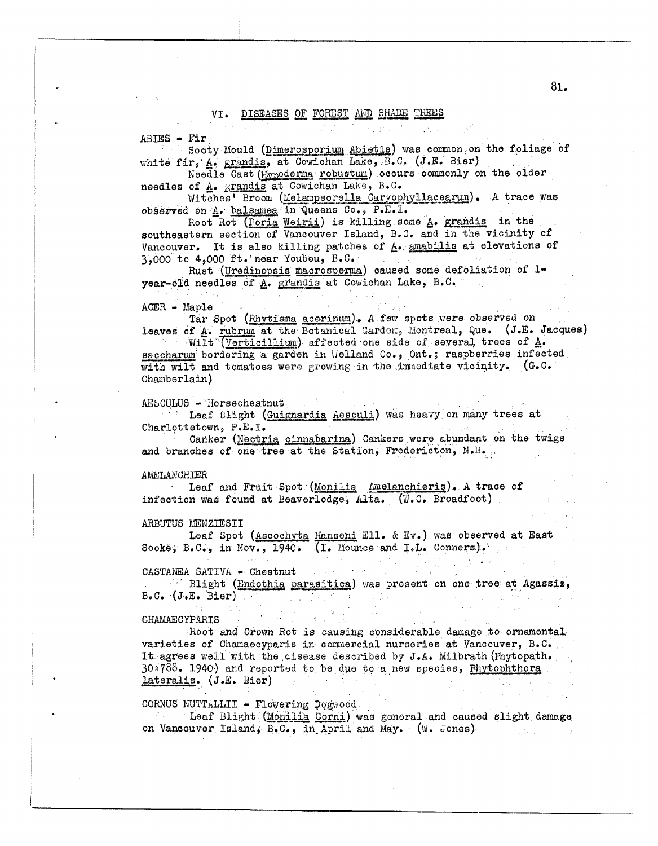# VI. DISEASES OF FOREST AND SHADE TREES

 $ABIES - Fir$ 

Sooty Mould (Dimerosporium Abietis) was common on the foliage of white fir, A. grandis, at Cowichan Lake, B.C. (J.E. Bier)

 $\mathcal{L}=\frac{1}{2}$  , where  $\mathcal{L}=\frac{1}{2}$  , where  $\mathcal{L}=\frac{1}{2}$ 

Needle Cast (Hypoderma robustum) occurs commonly on the older needles of A. grandis at Cowichan Lake, B.C.

Witches' Broom (Melampsorella Caryophyllacearum). A trace was observed on A. balsamea in Queens Co., P.E.I.

Root Rot (Poria Weirii) is killing some A. grandis in the southeastern section of Vancouver Island, B.C. and in the vicinity of Vancouver. It is also killing patches of A. amabilis at elevations of 3,000 to 4,000 ft. near Youbou, B.C.

Rust (Uredinopsis macrosperma) caused some defoliation of 1year-old needles of A. grandis at Cowichan Lake, B.C.  $\frac{1}{2}$  ,  $\frac{1}{2}$ 

 $\sim 10^{-1}$ 

#### $ACER - Maple$

Tar Spot (Rhytisma acerinum). A few spots were observed on leaves of A. rubrum at the Botanical Garden, Montreal, Que. (J.E. Jacques)

Wilt (Verticillium) affected one side of several trees of A. saccharum bordering a garden in Welland Co., Ont.; raspberries infected with wilt and tomatoes were growing in the immediate vicinity. (G.C. Chamberlain)

### AESCULUS - Horsechestnut

Leaf Blight (Guignardia Aesculi) was heavy on many trees at Charlottetown, P.E.I.

Canker (Nectria cinnabarina) Cankers were abundant on the twigs and branches of one tree at the Station, Fredericton, N.B.

### AMELANCHIER

Leaf and Fruit Spot (Monilia Amelanchieris). A trace of infection was found at Beaverlodge, Alta. (W.C. Broadfoot)

# ARBUTUS MENZIESII

Leaf Spot (Ascochyta Hanseni Ell. & Ev.) was observed at East Sooke; B.C., in Nov., 1940. (I. Mounce and I.L. Conners).

CASTANEA SATIVA - Chestnut

Blight (Endothia parasitica) was present on one tree at Agassiz, B.C. (J.E. Bier) is the property of the set of the component of the property of the set

 $\sim 10^{-4}$  km s

### CHAMAECYPARIS

Root and Crown Rot is causing considerable damage to ornamental varieties of Chamaecyparis in commercial nurseries at Vancouver, B.C. It agrees well with the disease described by J.A. Milbrath (Phytopath.  $30.1788$ . 1940) and reported to be due to a new species, Phytophthora lateralis. (J.E. Bier) and the process of the control of

# CORNUS NUTTALLII - Flowering Dogwood

1. Leaf Blight (Monilia Corni) was general and caused slight damage on Vancouver Island,  $B_eC_e$ , in April and May. (W. Jones)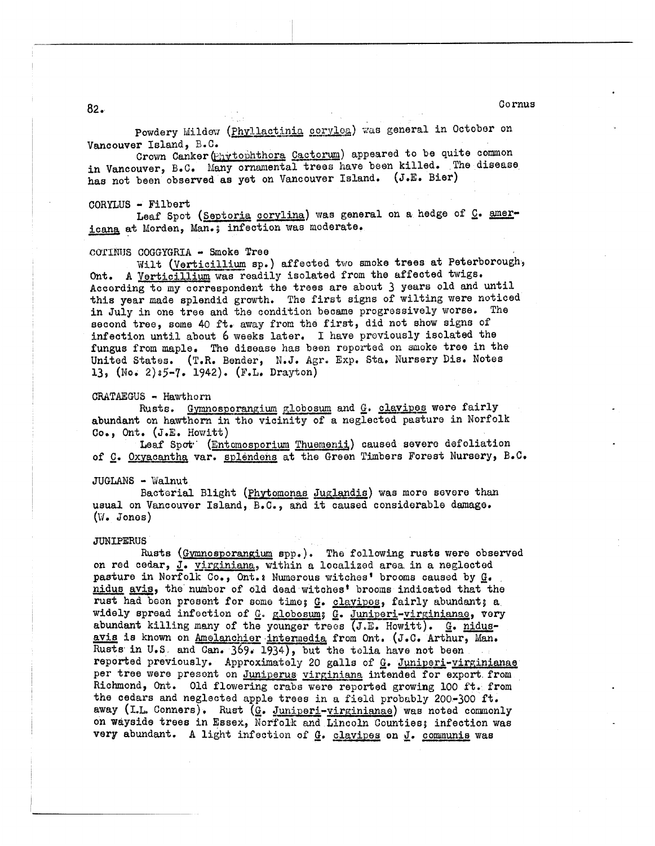<sup>82</sup>. Co **rnus** 

Powdery Mildew (Phyllactinia corylea) was general in October on Vancouver Island, B.C.

Crown Canker (Envtophthora Cactorum) appeared to be quite common in Vancouver, B.C. Many ornamental trees have been killed. The disease has not been observed as yet on Vancouver Island. (J.E. Bier)

### CORYLUS - Filbert

icana at Morden, Man.; infection was moderate. Leaf Spot (Septoria corylina) was general on a hedge of  $Q_2$ . amer-

### COTINTJS COGGYGRIA - **Smoke** Tree

Ont. A <u>Verticillium</u> was readily isolated from the affected twigs. According to my correspondent the trees are about *3* yeura old and until this year made splendid growth. The first signs of wilting were noticed in July in one tree and the condition became progressively worse. The second tree, some 40 ft. away from the first, did not show signs of infection until about 6 weeks later. I have proviously isolated the fungus from maple. The disease has been reported on smoke tree in the United States. (T.R. Bender, N.J. Agr. Exp. Sta. Nursery Dis. Notes **139 (No, 2)s5-7.** 1942). (E',L. Dragton) Vilt CVerticillium **sp.** ) affected two moke trees at Peterborough,

 $GRATAEGUS - Hawthorn$ 

abundant on hawthorn in tho vicinity of a neglected pasture in Norfolk Co., Ont.  $(J.E. Howitt)$ Rusts. Gymnosporangium globosum and G. clavipes were fairly

Leaf Spot<sup>.</sup> (Entomosporium Thuemenii) caused severe defoliation of *G. Oxyacantha var. splendens at the Green Timbers Forest Nursery, B.C.* 

### JUGLANS - Walnut

usual on Vancouver Island, B.C., and it caused considerable damage.  $(W_{\bullet}$  Jones) Bacterial Blight (Phytomonas Juglandis) was more severe than

### **JUN** IPERUS

on red cedar, J. virginiana, within a localized area in a neglected of <u>C</u>. <u>Oxyacantha</u> var. 1<br>
JUGLANS - Walnut<br>
Bacterial Blig<br>
usual on Vancouver Isl.<br>
(W. Jones)<br>
JUNIPERUS<br>
Rusts (Gymnosp<br>
on red cedar, <u>J</u>. virgin<br>
pasture in Norfolk Co.<br>
nidus avis, the number<br>
rust had been presen pasture in Norfolk  $Co_*,$  Ont.: Numerous witches' brooms caused by  $G_*$ nidus avis, the number of old dead witches' brooms indicated that the rust had boon present for some tiwog *e.* clavipos, fairly abundant; a widely spread infection of G. globosum; G. Juniperi-virginianae, very Rusts (Gymnosporangium spp.). The following rusts were obse<br>on red cedar, J. virginiana, within a localized area in a neglected<br>pasture in Norfolk Co., Ont.: Numerous witches' brooms caused by G.<br>nidus avis, the number of pasture in Norfolk Co., Ont.: Numerous witches' brooms caused by G-<br>nidus avis, the number of old dead witches' brooms indicated that the<br>rust had been present for some time; G. clavipes, fairly abundant;<br>widely spread in avis is known on <u>Amelanchier</u> intermedia from Ont. (J.C. Arthur, Man. Rusts in U.S. and Can. 369. 1934), but the telia have not been reported previously. Approximately 20 galls of G. Juniperi-virginianae **per** tree were present on Juniperus virginiana intended for export **from**  Richmond, Ont. Old flowering crabs were reported growing 100 ft. from the cedars and neglected apple trees in *u* field probably 200-300 ft. away (I.L. Conners). Rust (G. Juniperi-virginianae) was noted commonly on wayside trees in **Essex,** Norfolk and Lincoln Counties; infection was very abundant. **A** light infection of *9.* clavipes on *6.* cormnunis was Rusts ( $Gymnosporangium$  spp.). The following rusts were observed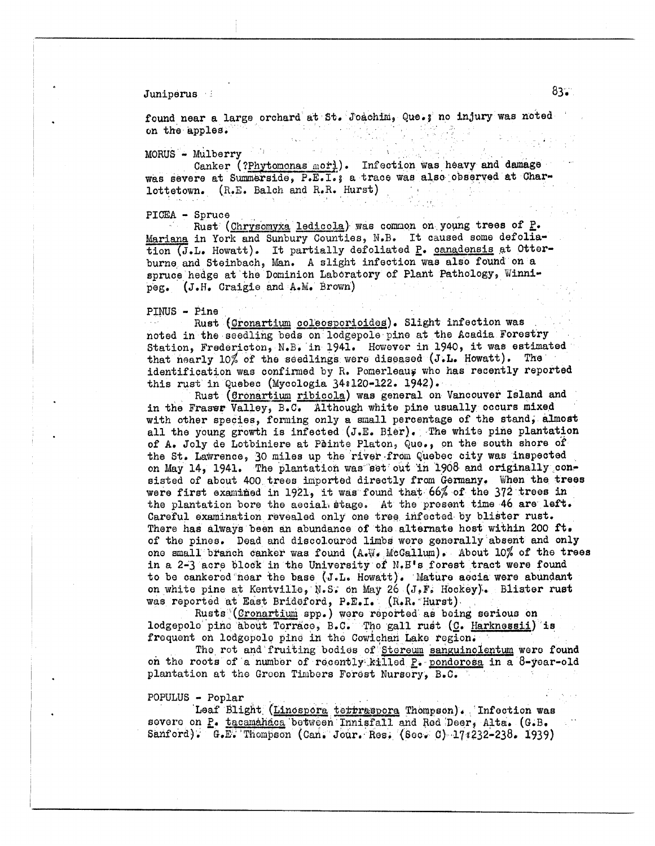Juniperus **83** 

found near a large orchard at St. Joachim, Que.s no injury was noted on the apples.

MORUS - Mulberry ' **<sup>1</sup>**

was severe at Summerside, P.E.I.; a trace was also observed at Charlottetovn. (R.E. Balch and R.R. Wurst) Canker (?Phytomonas mor). Infection was heavy and damage i.

**PLCEA** - Spruce

Mariana in York and Sunbury Counties, N.B. It caused some defolia-**Mariana** In fork and bundery countres, who is cannot be considered to the tion (J.L. Howatt). It partially defoliated P. canadensis at Otterburne and Steinbach, Man. A slight infection was also found on a spruce hedge at the Dominion Laboratory of Plant Pathology, Winnipeg. (J.H. Craigie and A.M. Brown) Rust (Chrysomyxa ledicola) was common on young trees of P.

PINUS - Pine

noted in the seedling beds on lodgepole pino at the Aoadia Forestry noted in the seedling beds on lodgepole pine at the Acadia Force of the Section, Fredericton, N.B. in 1941. However in 1940, it was estimated that nearly  $10\%$  of the seedlings were diseased (J.L. Howatt). The identification was confirmed by R. Pomerleaus who has recently reported this rust in Quebec (Mycologia 34:120-122. 1942). Rust (Cronartium coleosporioides). Slight infection was

in the Fraser Valley, B.C. Although white pine usually occurs mixed with other species, forming only a small percentage of the stand, almost all the young growrth is infected **(J.E.** Bier), The white pine plantation of A. Joly de Lotbiniere at Pèinte Platon, Que., on the south shore of the St. Lawrence, 30 miles up the river from Quebec city was inspected on May 14, 1941. The plantation was set out in 1908 and originally consisted of about 400 trees imported directly from Germany. When the trees were first examined in 1921, it was found that 66% of the 372 trees in the plantation bore the aecial stage. At the present time 46 are left. Careful examination revealed only one tree infected by blister rust. There has always been an abundance of the alternate host within 200 ft. of the pines. Dead and discolourdd limbs were generally absent and only one small branch canker was found (A.W. McGallum). About  $10\%$  of the trees in a 2-3 acre blodk in the University **of** N.BIs forest tract were found to be uankerod mar the base (J.Lo Howatt). Mature aeoia **were** abundant on white pine at Kontville, **N.S.** dn **Uay** 26 **(JeFc** Hockey);. Blister rust was reported at East Brideford, P.E.I. (R.R. Hurst), Rust (Gronartium ribicola) was general on Vancouver Island and

Rusts (Cronartium spp.) were reported as being serious on lodgepolo pino about Torraco, B.C. Tho gall rust (C. Harknessii) is frequent on lodgepolo pine in the Cowichan Lake region.

The rot and fruiting bodies of Stereum sanguinolentum were found **on** tho roots of a nwnbor of rocontly. killed g. pondorosa in a byoar-old plantation at the Green Timbers Forest Nursery, **B.C.** 

POPULUS - Poplar

Leaf Blight (Linespora terraspora Thompson). Infection was sovere on P. tacamahaca between Innisfall and Red Deer, Alta. (G.B. Sanford). **G.E. Thompson (Can. Jour. Ros. (Sec. 0) 17s232-238. 1939)**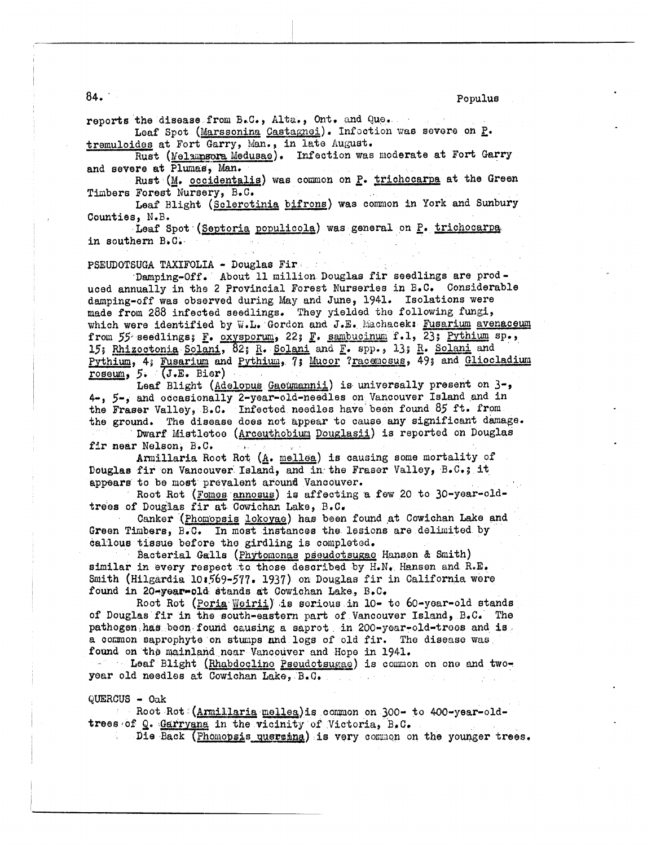$84.$ 

reports the disease from B.C., Alta., Ont. and Que. Leaf Spot (Marssonina Castagnei). Infoction was severe on P. tremuloides at Fort Garry, Man., in late August.

Rust (Melaupsora Medusae). Infection was moderate at Fort Garry and severe at Plumas, Man.

Rust (M. occidentalis) was common on P. trichocarpa at the Green Timbers Forest Nursery, B.C.

Leaf Blight (Sclerotinia bifrons) was common in York and Sunbury Counties, N.B.

Leaf Spot (Septoria populicola) was general on P. trichocarpa in southern B.C.

PSEUDOTSUGA TAXIFOLIA - Douglas Fire and

Damping-Off. About 11 million Douglas fir seedlings are produced annually in the 2 Provincial Forest Nurseries in B.C. Considerable damping-off was observed during May and June, 1941. Isolations were made from 288 infected seedlings. They yielded the following fungi, which were identified by W.L. Gordon and J.E. Machacek: Fusarium avenaceum from 55 seedlings; F. oxysporum, 22; F. sambucinum f.1, 23; Pythium sp., 15; Rhizoctonia Solani, 82; R. Solani and F. spp., 13; R. Solani and Pythium, 4; Fusarium and Pythium, 7; Mucor ? racemosus, 49; and Gliocladium roseum, 5. (J.E. Bier)

Leaf Blight (Adelopus Gaeumannii) is universally present on 3-, 4-, 5-, and occasionally 2-year-old-needles on Vancouver Island and in the Fraser Valley, B.C. Infected needles have been found 85 ft. from the ground. The disease does not appear to cause any significant damage.

Dwarf Mistletoe (Arceuthobium Douglasii) is reported on Douglas fir near Nelson, B.C.  $\sim 300$  M  $_\odot$ 

Armillaria Root Rot (A. mellea) is causing some mortality of Douglas fir on Vancouver Island, and in the Fraser Valley, B.C.s it appears to be most prevalent around Vancouver.

Root Rot (Fomes annosus) is affecting a few 20 to 30-year-oldtrees of Douglas fir at Cowichan Lake, B.C.

Canker (Phomopsis lokoyae) has been found at Cowichan Lake and Green Timbers, B.C. In most instances the lesions are delimited by callous tissue before the girdling is completed.

Bacterial Galls (Phytomonas pseudotsugae Hansen & Smith) similar in every respect to those described by H.N. Hansen and R.E. Smith (Hilgardia 10:569-577. 1937) on Douglas fir in California were found in 20-year-old stands at Cowichan Lake, B.C.

Root Rot (Poria Weirii) is serious in 10- to 60-year-old stands of Douglas fir in the south-eastern part of Vancouver Island, B.C. The pathogen has been found causing a saprot in 200-year-old-trees and is a common saprophyte on stumps and logs of old fir. The disease was found on the mainland near Vancouver and Hope in 1941.

- Leaf Blight (Rhabdocline Pseudotsugae) is common on one and twoyear old needles at Cowichan Lake, B.C.

 $QUERCUS - Oak$ 

Root Rot (Armillaria mellea)is common on 300- to 400-year-oldtrees of Q. Garryana in the vicinity of Victoria, B.C.

Die Back (Phomopsis quercina) is very common on the younger trees.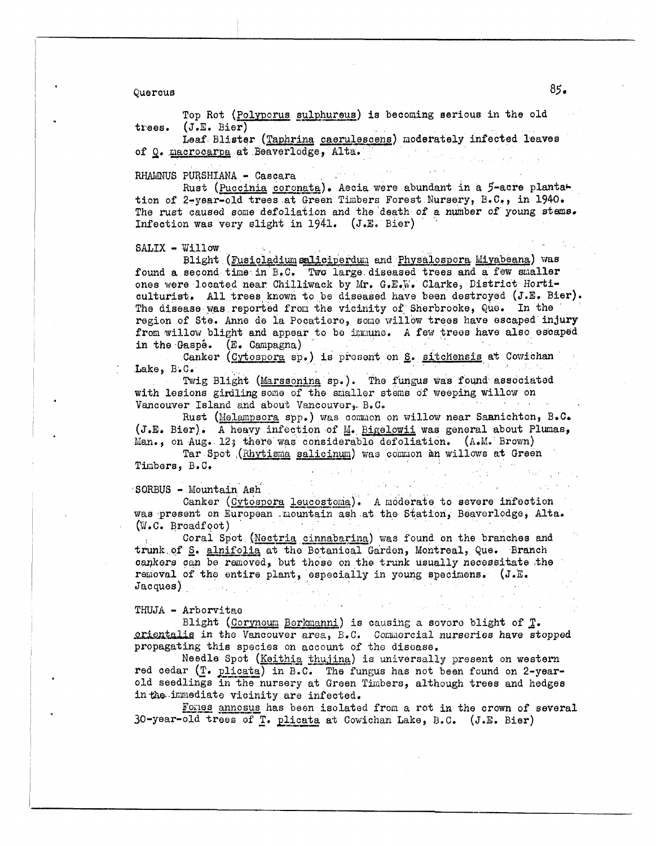Quercus

Top Rot (Polyporus sulphureus) is becoming serious in the old trees.  $(J.E. Bier)$ 

Leaf Blister (Taphrina caerulescens) moderately infected leaves of Q. macrocarpa at Beaverlodge, Alta.

RHAMNUS PURSHIANA - Cascara

Rust (Puccinia coronata). Aecia were abundant in a 5-acre plantation of 2-year-old trees at Green Timbers Forest Nursery, B.C., in 1940. The rust caused some defoliation and the death of a number of young stems. Infection was very slight in 1941. (J.E. Bier)

SALIX - Willow

Blight (Fusicladium saliciperdum and Physalospora Miyabeana) was found a second time in B.C. Two large diseased trees and a few smaller ones were located near Chilliwack by Mr. G.E.W. Clarke, District Horticulturist. All trees known to be diseased have been destroyed (J.E. Bier). The disease was reported from the vicinity of Sherbrooke, Que. In the region of Ste. Anne de la Pocatiere, some willow trees have escaped injury from willow blight and appear to be immune. A few trees have also escaped in the Gaspé. (E. Campagna)

Canker (Cytospora sp.) is present on S. sitchensis at Cowichan Lake, B.C.

Twig Blight (Marssoning sp.). The fungus was found associated with lesions girdling some of the smaller stems of weeping willow on Vancouver Island and about Vancouver, B.C.

Rust (Melampsora spp.) was common on willow near Sannichton, B.C. (J.E. Bier). A heavy infection of M. Bigelowii was general about Plumas, Man., on Aug. 12; there was considerable defoliation. (A.M. Brown)

Tar Spot (Rhytisma salicinum) was common an willows at Green Timbers, B.C.

SORBUS - Mountain Ash

Canker (Cytospora leucostoma). A moderate to severe infection was present on European mountain ash at the Station, Beaverlodge, Alta.  $(W.C. Broadfoot)$ 

Coral Spot (Nectria cinnabarina) was found on the branches and trunk of S. alnifolia at the Botanical Garden, Montreal, Que. Branch cankers can be removed, but those on the trunk usually necessitate the removal of the entire plant, especially in young specimens. (J.E.  $Jacques)$  $1.531$ 

## THUJA - Arborvitae

Blight (Corynoum Berkmanni) is causing a severe blight of T. orientalis in the Vancouver area, B.C. Commercial nurseries have stopped propagating this species on account of the disease.

Needle Spot (Keithia thujina) is universally present on western red cedar (T. plicata) in B.C. The fungus has not been found on 2-yearold seedlings in the nursery at Green Timbers, although trees and hedges in the immediate vicinity are infected.

Forles annosus has been isolated from a rot in the crown of several 30-year-old trees of T. plicata at Cowichan Lake, B.C. (J.E. Bier)